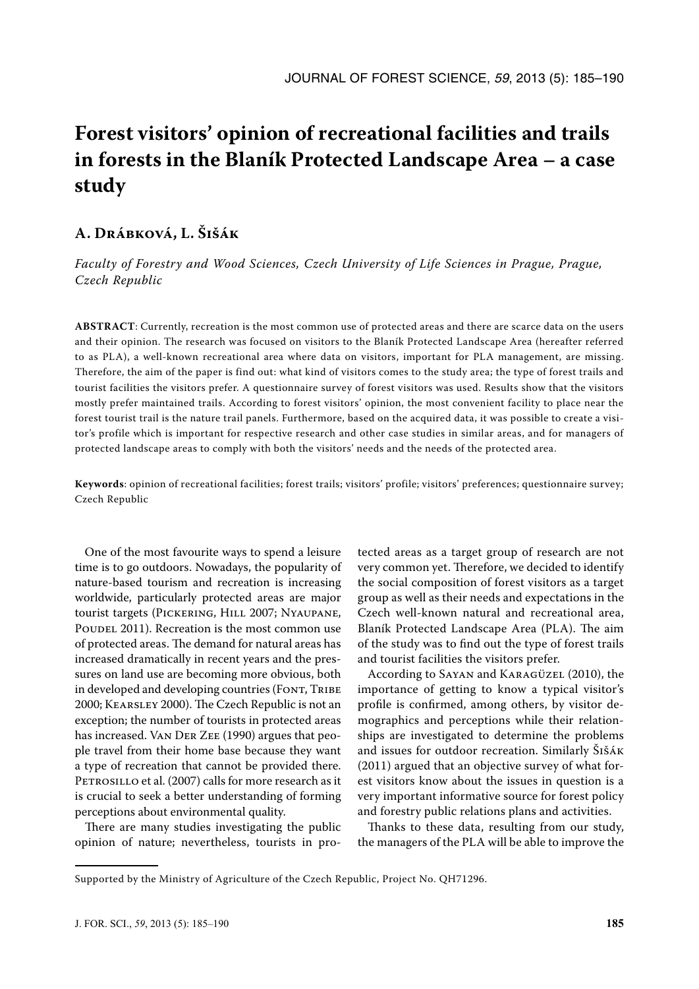# **Forest visitors' opinion of recreational facilities and trails in forests in the Blaník Protected Landscape Area – a case study**

## **A. Drábková, L. Šišák**

*Faculty of Forestry and Wood Sciences, Czech University of Life Sciences in Prague, Prague, Czech Republic*

**ABSTRACT**: Currently, recreation is the most common use of protected areas and there are scarce data on the users and their opinion. The research was focused on visitors to the Blaník Protected Landscape Area (hereafter referred to as PLA), a well-known recreational area where data on visitors, important for PLA management, are missing. Therefore, the aim of the paper is find out: what kind of visitors comes to the study area; the type of forest trails and tourist facilities the visitors prefer. A questionnaire survey of forest visitors was used. Results show that the visitors mostly prefer maintained trails. According to forest visitors' opinion, the most convenient facility to place near the forest tourist trail is the nature trail panels. Furthermore, based on the acquired data, it was possible to create a visitor's profile which is important for respective research and other case studies in similar areas, and for managers of protected landscape areas to comply with both the visitors' needs and the needs of the protected area.

**Keywords**: opinion of recreational facilities; forest trails; visitors' profile; visitors' preferences; questionnaire survey; Czech Republic

One of the most favourite ways to spend a leisure time is to go outdoors. Nowadays, the popularity of nature-based tourism and recreation is increasing worldwide, particularly protected areas are major tourist targets (Pickering, Hill 2007; Nyaupane, POUDEL 2011). Recreation is the most common use of protected areas. The demand for natural areas has increased dramatically in recent years and the pressures on land use are becoming more obvious, both in developed and developing countries (FONT, TRIBE 2000; Kearsley 2000). The Czech Republic is not an exception; the number of tourists in protected areas has increased. Van Der Zee (1990) argues that people travel from their home base because they want a type of recreation that cannot be provided there. PETROSILLO et al. (2007) calls for more research as it is crucial to seek a better understanding of forming perceptions about environmental quality.

There are many studies investigating the public opinion of nature; nevertheless, tourists in protected areas as a target group of research are not very common yet. Therefore, we decided to identify the social composition of forest visitors as a target group as well as their needs and expectations in the Czech well-known natural and recreational area, Blaník Protected Landscape Area (PLA). The aim of the study was to find out the type of forest trails and tourist facilities the visitors prefer.

According to Sayan and Karagüzel (2010), the importance of getting to know a typical visitor's profile is confirmed, among others, by visitor demographics and perceptions while their relationships are investigated to determine the problems and issues for outdoor recreation. Similarly Šišák (2011) argued that an objective survey of what forest visitors know about the issues in question is a very important informative source for forest policy and forestry public relations plans and activities.

Thanks to these data, resulting from our study, the managers of the PLA will be able to improve the

Supported by the Ministry of Agriculture of the Czech Republic, Project No. QH71296.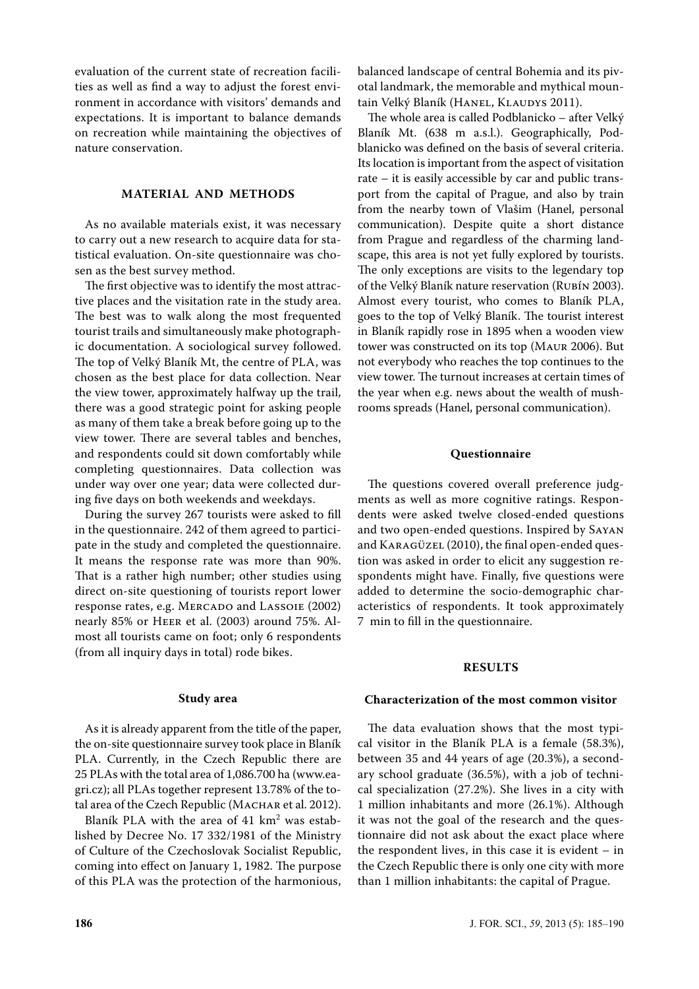evaluation of the current state of recreation facilities as well as find a way to adjust the forest environment in accordance with visitors' demands and expectations. It is important to balance demands on recreation while maintaining the objectives of nature conservation.

## **MATERIAL AND METHODS**

As no available materials exist, it was necessary to carry out a new research to acquire data for statistical evaluation. On-site questionnaire was chosen as the best survey method.

The first objective was to identify the most attractive places and the visitation rate in the study area. The best was to walk along the most frequented tourist trails and simultaneously make photographic documentation. A sociological survey followed. The top of Velký Blaník Mt, the centre of PLA, was chosen as the best place for data collection. Near the view tower, approximately halfway up the trail, there was a good strategic point for asking people as many of them take a break before going up to the view tower. There are several tables and benches, and respondents could sit down comfortably while completing questionnaires. Data collection was under way over one year; data were collected during five days on both weekends and weekdays.

During the survey 267 tourists were asked to fill in the questionnaire. 242 of them agreed to participate in the study and completed the questionnaire. It means the response rate was more than 90%. That is a rather high number; other studies using direct on-site questioning of tourists report lower response rates, e.g. MERCADO and LASSOIE (2002) nearly 85% or Heer et al. (2003) around 75%. Almost all tourists came on foot; only 6 respondents (from all inquiry days in total) rode bikes.

#### **Study area**

As it is already apparent from the title of the paper, the on-site questionnaire survey took place in Blaník PLA. Currently, in the Czech Republic there are 25 PLAs with the total area of 1,086.700 ha (www.eagri.cz); all PLAs together represent 13.78% of the total area of the Czech Republic (MACHAR et al. 2012).

Blaník PLA with the area of  $41 \text{ km}^2$  was established by Decree No. 17 332/1981 of the Ministry of Culture of the Czechoslovak Socialist Republic, coming into effect on January 1, 1982. The purpose of this PLA was the protection of the harmonious, balanced landscape of central Bohemia and its pivotal landmark, the memorable and mythical mountain Velký Blaník (HANEL, KLAUDYS 2011).

The whole area is called Podblanicko – after Velký Blaník Mt. (638 m a.s.l.). Geographically, Podblanicko was defined on the basis of several criteria. Its location is important from the aspect of visitation rate – it is easily accessible by car and public transport from the capital of Prague, and also by train from the nearby town of Vlašim (Hanel, personal communication). Despite quite a short distance from Prague and regardless of the charming landscape, this area is not yet fully explored by tourists. The only exceptions are visits to the legendary top of the Velký Blaník nature reservation (Rubín 2003). Almost every tourist, who comes to Blaník PLA, goes to the top of Velký Blaník. The tourist interest in Blaník rapidly rose in 1895 when a wooden view tower was constructed on its top (Maur 2006). But not everybody who reaches the top continues to the view tower. The turnout increases at certain times of the year when e.g. news about the wealth of mushrooms spreads (Hanel, personal communication).

#### **Questionnaire**

The questions covered overall preference judgments as well as more cognitive ratings. Respondents were asked twelve closed-ended questions and two open-ended questions. Inspired by Sayan and KARAGÜZEL (2010), the final open-ended question was asked in order to elicit any suggestion respondents might have. Finally, five questions were added to determine the socio-demographic characteristics of respondents. It took approximately 7 min to fill in the questionnaire.

### **RESULTS**

### **Characterization of the most common visitor**

The data evaluation shows that the most typical visitor in the Blaník PLA is a female (58.3%), between 35 and 44 years of age (20.3%), a secondary school graduate (36.5%), with a job of technical specialization (27.2%). She lives in a city with 1 million inhabitants and more (26.1%). Although it was not the goal of the research and the questionnaire did not ask about the exact place where the respondent lives, in this case it is evident  $-$  in the Czech Republic there is only one city with more than 1 million inhabitants: the capital of Prague.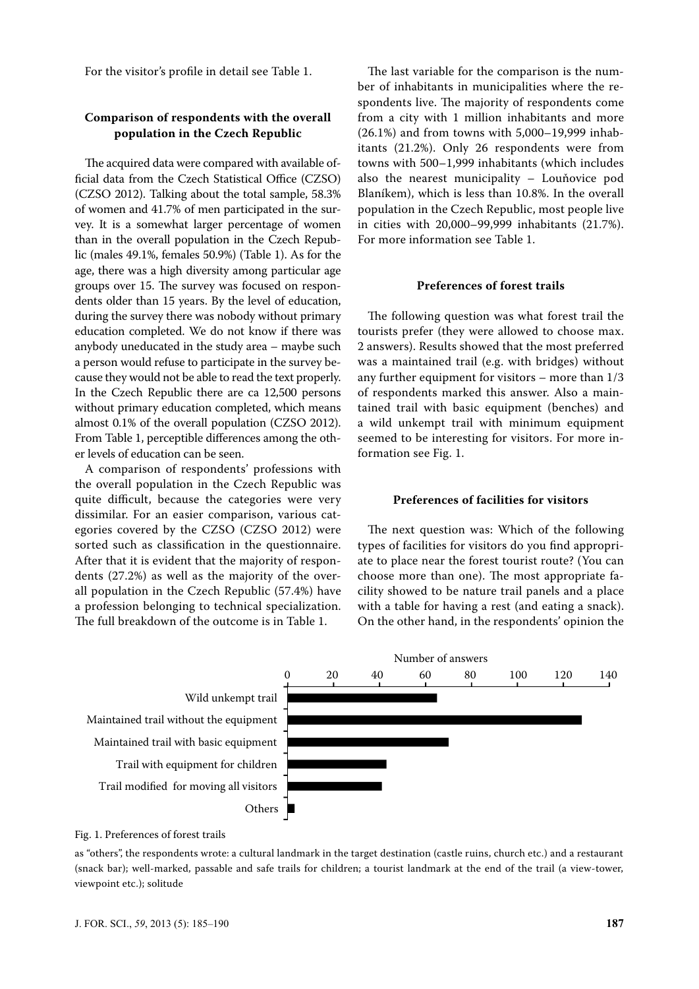For the visitor's profile in detail see Table 1.

## **Comparison of respondents with the overall population in the Czech Republic**

The acquired data were compared with available official data from the Czech Statistical Office (CZSO) (CZSO 2012). Talking about the total sample, 58.3% of women and 41.7% of men participated in the survey. It is a somewhat larger percentage of women than in the overall population in the Czech Republic (males 49.1%, females 50.9%) (Table 1). As for the age, there was a high diversity among particular age groups over 15. The survey was focused on respondents older than 15 years. By the level of education, during the survey there was nobody without primary education completed. We do not know if there was anybody uneducated in the study area – maybe such a person would refuse to participate in the survey because they would not be able to read the text properly. In the Czech Republic there are ca 12,500 persons without primary education completed, which means almost 0.1% of the overall population (CZSO 2012). From Table 1, perceptible differences among the other levels of education can be seen.

A comparison of respondents' professions with the overall population in the Czech Republic was quite difficult, because the categories were very dissimilar. For an easier comparison, various categories covered by the CZSO (CZSO 2012) were sorted such as classification in the questionnaire. After that it is evident that the majority of respondents (27.2%) as well as the majority of the overall population in the Czech Republic (57.4%) have a profession belonging to technical specialization. The full breakdown of the outcome is in Table 1.

The last variable for the comparison is the number of inhabitants in municipalities where the respondents live. The majority of respondents come from a city with 1 million inhabitants and more (26.1%) and from towns with 5,000–19,999 inhabitants (21.2%). Only 26 respondents were from towns with 500–1,999 inhabitants (which includes also the nearest municipality – Louňovice pod Blaníkem), which is less than 10.8%. In the overall population in the Czech Republic, most people live in cities with 20,000–99,999 inhabitants (21.7%). For more information see Table 1.

#### **Preferences of forest trails**

The following question was what forest trail the tourists prefer (they were allowed to choose max. 2 answers). Results showed that the most preferred was a maintained trail (e.g. with bridges) without any further equipment for visitors – more than 1/3 of respondents marked this answer. Also a maintained trail with basic equipment (benches) and a wild unkempt trail with minimum equipment seemed to be interesting for visitors. For more information see Fig. 1.

### **Preferences of facilities for visitors**

The next question was: Which of the following types of facilities for visitors do you find appropriate to place near the forest tourist route? (You can choose more than one). The most appropriate facility showed to be nature trail panels and a place with a table for having a rest (and eating a snack). On the other hand, in the respondents' opinion the



#### Fig. 1. Preferences of forest trails

as "others", the respondents wrote: a cultural landmark in the target destination (castle ruins, church etc.) and a restaurant (snack bar); well-marked, passable and safe trails for children; a tourist landmark at the end of the trail (a view-tower, viewpoint etc.); solitude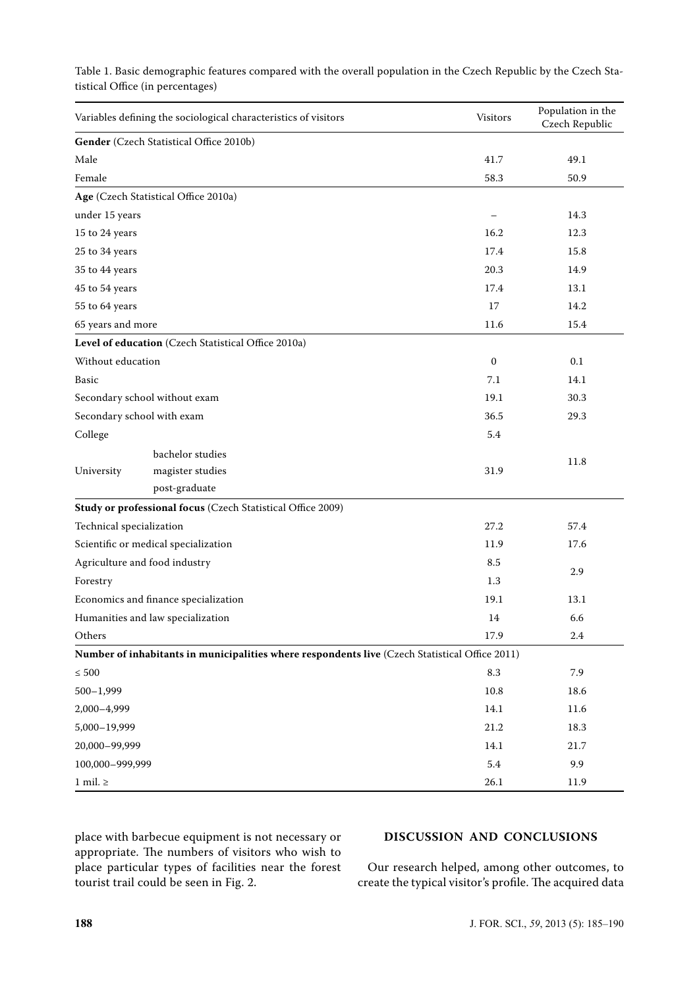| Variables defining the sociological characteristics of visitors |                                                                                                | <b>Visitors</b> | Population in the<br>Czech Republic |
|-----------------------------------------------------------------|------------------------------------------------------------------------------------------------|-----------------|-------------------------------------|
|                                                                 | Gender (Czech Statistical Office 2010b)                                                        |                 |                                     |
| Male                                                            |                                                                                                | 41.7            | 49.1                                |
| Female                                                          |                                                                                                | 58.3            | 50.9                                |
|                                                                 | Age (Czech Statistical Office 2010a)                                                           |                 |                                     |
| under 15 years                                                  |                                                                                                |                 | 14.3                                |
| 15 to 24 years                                                  |                                                                                                | 16.2            | 12.3                                |
| 25 to 34 years                                                  |                                                                                                | 17.4            | 15.8                                |
| 35 to 44 years                                                  |                                                                                                | 20.3            | 14.9                                |
| 45 to 54 years                                                  |                                                                                                | 17.4            | 13.1                                |
| 55 to 64 years                                                  |                                                                                                | 17              | 14.2                                |
| 65 years and more                                               |                                                                                                | 11.6            | 15.4                                |
|                                                                 | Level of education (Czech Statistical Office 2010a)                                            |                 |                                     |
| Without education                                               |                                                                                                | $\mathbf{0}$    | 0.1                                 |
| <b>Basic</b>                                                    |                                                                                                | 7.1             | 14.1                                |
| Secondary school without exam                                   |                                                                                                | 19.1            | 30.3                                |
| Secondary school with exam                                      |                                                                                                | 36.5            | 29.3                                |
| College                                                         |                                                                                                | 5.4             |                                     |
|                                                                 | bachelor studies                                                                               |                 |                                     |
| University                                                      | magister studies                                                                               | 31.9            | 11.8                                |
|                                                                 | post-graduate                                                                                  |                 |                                     |
|                                                                 | Study or professional focus (Czech Statistical Office 2009)                                    |                 |                                     |
| Technical specialization                                        |                                                                                                | 27.2            | 57.4                                |
| Scientific or medical specialization                            |                                                                                                | 11.9            | 17.6                                |
| Agriculture and food industry                                   |                                                                                                | 8.5             | 2.9                                 |
| Forestry                                                        |                                                                                                | 1.3             |                                     |
| Economics and finance specialization                            |                                                                                                | 19.1            | 13.1                                |
| Humanities and law specialization                               |                                                                                                | 14              | 6.6                                 |
| Others                                                          |                                                                                                | 17.9            | 2.4                                 |
|                                                                 | Number of inhabitants in municipalities where respondents live (Czech Statistical Office 2011) |                 |                                     |
| $\leq 500$                                                      |                                                                                                | 8.3             | 7.9                                 |
| $500 - 1,999$                                                   |                                                                                                | 10.8            | 18.6                                |
| 2,000-4,999                                                     |                                                                                                | 14.1            | 11.6                                |
| 5,000-19,999                                                    |                                                                                                | 21.2            | 18.3                                |
| 20,000-99,999                                                   |                                                                                                | 14.1            | 21.7                                |
| 100,000-999,999                                                 |                                                                                                | 5.4             | 9.9                                 |
| 1 mil. $\ge$                                                    |                                                                                                | 26.1            | 11.9                                |

Table 1. Basic demographic features compared with the overall population in the Czech Republic by the Czech Statistical Office (in percentages)

place with barbecue equipment is not necessary or appropriate. The numbers of visitors who wish to place particular types of facilities near the forest tourist trail could be seen in Fig. 2.

## **DISCUSSION AND CONCLUSIONS**

Our research helped, among other outcomes, to create the typical visitor's profile. The acquired data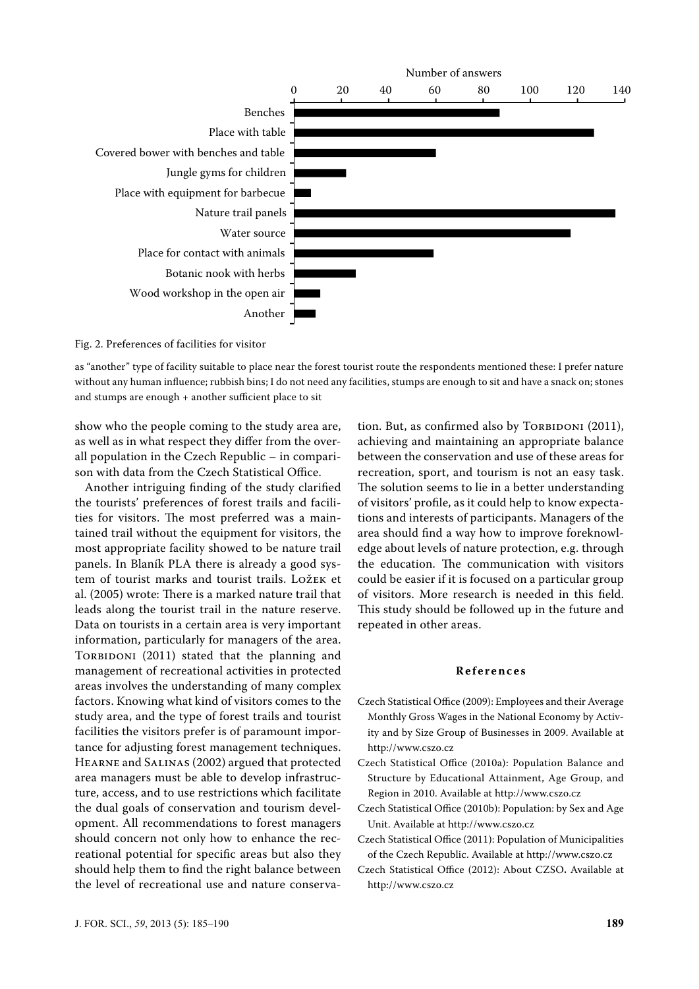

Fig. 2. Preferences of facilities for visitor

as "another" type of facility suitable to place near the forest tourist route the respondents mentioned these: I prefer nature without any human influence; rubbish bins; I do not need any facilities, stumps are enough to sit and have a snack on; stones and stumps are enough + another sufficient place to sit

show who the people coming to the study area are, as well as in what respect they differ from the overall population in the Czech Republic – in comparison with data from the Czech Statistical Office.

Another intriguing finding of the study clarified the tourists' preferences of forest trails and facilities for visitors. The most preferred was a maintained trail without the equipment for visitors, the most appropriate facility showed to be nature trail panels. In Blaník PLA there is already a good system of tourist marks and tourist trails. Ložek et al. (2005) wrote: There is a marked nature trail that leads along the tourist trail in the nature reserve. Data on tourists in a certain area is very important information, particularly for managers of the area. TORBIDONI (2011) stated that the planning and management of recreational activities in protected areas involves the understanding of many complex factors. Knowing what kind of visitors comes to the study area, and the type of forest trails and tourist facilities the visitors prefer is of paramount importance for adjusting forest management techniques. Hearne and Salinas (2002) argued that protected area managers must be able to develop infrastructure, access, and to use restrictions which facilitate the dual goals of conservation and tourism development. All recommendations to forest managers should concern not only how to enhance the recreational potential for specific areas but also they should help them to find the right balance between the level of recreational use and nature conservation. But, as confirmed also by TORBIDONI (2011), achieving and maintaining an appropriate balance between the conservation and use of these areas for recreation, sport, and tourism is not an easy task. The solution seems to lie in a better understanding of visitors' profile, as it could help to know expectations and interests of participants. Managers of the area should find a way how to improve foreknowledge about levels of nature protection, e.g. through the education. The communication with visitors could be easier if it is focused on a particular group of visitors. More research is needed in this field. This study should be followed up in the future and repeated in other areas.

#### **References**

- Czech Statistical Office (2009): Employees and their Average Monthly Gross Wages in the National Economy by Activity and by Size Group of Businesses in 2009. Available at http://www.cszo.cz
- Czech Statistical Office (2010a): Population Balance and Structure by Educational Attainment, Age Group, and Region in 2010. Available at http://www.cszo.cz
- Czech Statistical Office (2010b): Population: by Sex and Age Unit. Available at http://www.cszo.cz
- Czech Statistical Office (2011): Population of Municipalities of the Czech Republic. Available at http://www.cszo.cz
- Czech Statistical Office (2012): About CZSO**.** Available at http://www.cszo.cz